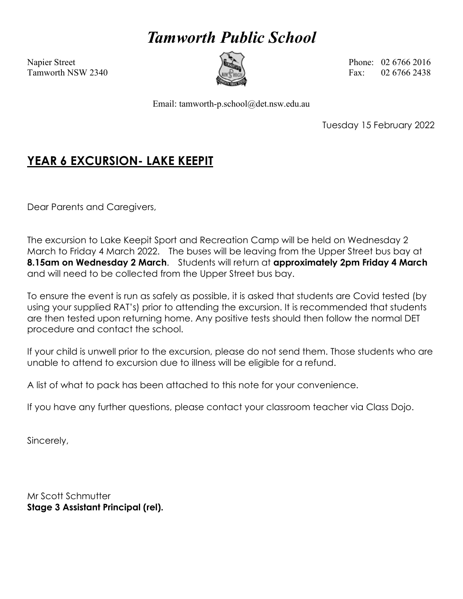# *Tamworth Public School*



Napier Street **Phone: 02 6766 2016 Phone: 02 6766 2016** Tamworth NSW 2340  $\left(\begin{array}{ccc}\n\sqrt{2} & \sqrt{2} & \sqrt{2} \\
\sqrt{2} & \sqrt{2} & \sqrt{2}\n\end{array}\right)$  Fax: 02 6766 2438

Email: tamworth-p.school@det.nsw.edu.au

Tuesday 15 February 2022

## **YEAR 6 EXCURSION- LAKE KEEPIT**

Dear Parents and Caregivers,

The excursion to Lake Keepit Sport and Recreation Camp will be held on Wednesday 2 March to Friday 4 March 2022. The buses will be leaving from the Upper Street bus bay at **8.15am on Wednesday 2 March**. Students will return at **approximately 2pm Friday 4 March** and will need to be collected from the Upper Street bus bay.

To ensure the event is run as safely as possible, it is asked that students are Covid tested (by using your supplied RAT's) prior to attending the excursion. It is recommended that students are then tested upon returning home. Any positive tests should then follow the normal DET procedure and contact the school.

If your child is unwell prior to the excursion, please do not send them. Those students who are unable to attend to excursion due to illness will be eligible for a refund.

A list of what to pack has been attached to this note for your convenience.

If you have any further questions, please contact your classroom teacher via Class Dojo.

Sincerely,

Mr Scott Schmutter **Stage 3 Assistant Principal (rel).**